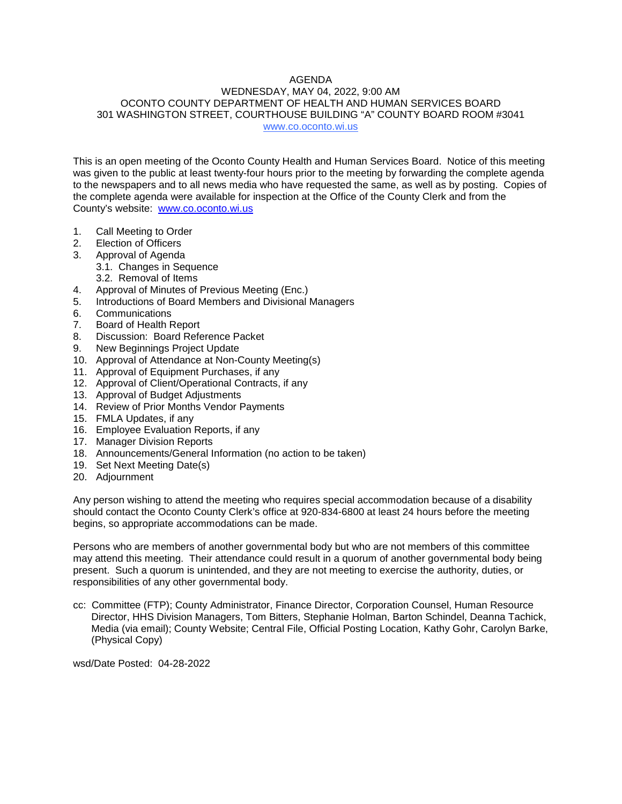## AGENDA

### WEDNESDAY, MAY 04, 2022, 9:00 AM OCONTO COUNTY DEPARTMENT OF HEALTH AND HUMAN SERVICES BOARD 301 WASHINGTON STREET, COURTHOUSE BUILDING "A" COUNTY BOARD ROOM #3041 www.co.oconto.wi.us

This is an open meeting of the Oconto County Health and Human Services Board. Notice of this meeting was given to the public at least twenty-four hours prior to the meeting by forwarding the complete agenda to the newspapers and to all news media who have requested the same, as well as by posting. Copies of the complete agenda were available for inspection at the Office of the County Clerk and from the County's website: [www.co.oconto.wi.us](http://www.co.oconto.wi.us/)

- 1. Call Meeting to Order
- 2. Election of Officers
- 3. Approval of Agenda
	- 3.1. Changes in Sequence
	- 3.2. Removal of Items
- 4. Approval of Minutes of Previous Meeting (Enc.)
- 5. Introductions of Board Members and Divisional Managers
- 6. Communications
- 7. Board of Health Report<br>8. Discussion: Board Refe
- Discussion: Board Reference Packet
- 9. New Beginnings Project Update
- 10. Approval of Attendance at Non-County Meeting(s)
- 11. Approval of Equipment Purchases, if any
- 12. Approval of Client/Operational Contracts, if any
- 13. Approval of Budget Adjustments
- 14. Review of Prior Months Vendor Payments
- 15. FMLA Updates, if any
- 16. Employee Evaluation Reports, if any
- 17. Manager Division Reports
- 18. Announcements/General Information (no action to be taken)
- 19. Set Next Meeting Date(s)
- 20. Adjournment

Any person wishing to attend the meeting who requires special accommodation because of a disability should contact the Oconto County Clerk's office at 920-834-6800 at least 24 hours before the meeting begins, so appropriate accommodations can be made.

Persons who are members of another governmental body but who are not members of this committee may attend this meeting. Their attendance could result in a quorum of another governmental body being present. Such a quorum is unintended, and they are not meeting to exercise the authority, duties, or responsibilities of any other governmental body.

cc: Committee (FTP); County Administrator, Finance Director, Corporation Counsel, Human Resource Director, HHS Division Managers, Tom Bitters, Stephanie Holman, Barton Schindel, Deanna Tachick, Media (via email); County Website; Central File, Official Posting Location, Kathy Gohr, Carolyn Barke, (Physical Copy)

wsd/Date Posted: 04-28-2022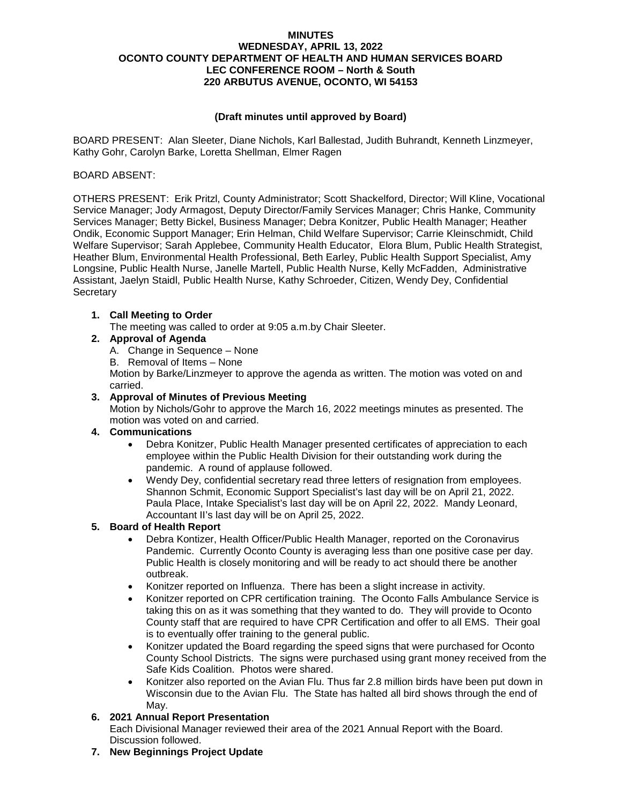### **MINUTES WEDNESDAY, APRIL 13, 2022 OCONTO COUNTY DEPARTMENT OF HEALTH AND HUMAN SERVICES BOARD LEC CONFERENCE ROOM – North & South 220 ARBUTUS AVENUE, OCONTO, WI 54153**

## **(Draft minutes until approved by Board)**

BOARD PRESENT: Alan Sleeter, Diane Nichols, Karl Ballestad, Judith Buhrandt, Kenneth Linzmeyer, Kathy Gohr, Carolyn Barke, Loretta Shellman, Elmer Ragen

### BOARD ABSENT:

OTHERS PRESENT: Erik Pritzl, County Administrator; Scott Shackelford, Director; Will Kline, Vocational Service Manager; Jody Armagost, Deputy Director/Family Services Manager; Chris Hanke, Community Services Manager; Betty Bickel, Business Manager; Debra Konitzer, Public Health Manager; Heather Ondik, Economic Support Manager; Erin Helman, Child Welfare Supervisor; Carrie Kleinschmidt, Child Welfare Supervisor; Sarah Applebee, Community Health Educator, Elora Blum, Public Health Strategist, Heather Blum, Environmental Health Professional, Beth Earley, Public Health Support Specialist, Amy Longsine, Public Health Nurse, Janelle Martell, Public Health Nurse, Kelly McFadden, Administrative Assistant, Jaelyn Staidl, Public Health Nurse, Kathy Schroeder, Citizen, Wendy Dey, Confidential **Secretary** 

### **1. Call Meeting to Order**

The meeting was called to order at 9:05 a.m.by Chair Sleeter.

## **2. Approval of Agenda**

- A. Change in Sequence None
- B. Removal of Items None

Motion by Barke/Linzmeyer to approve the agenda as written. The motion was voted on and carried.

## **3. Approval of Minutes of Previous Meeting**

Motion by Nichols/Gohr to approve the March 16, 2022 meetings minutes as presented. The motion was voted on and carried.

### **4. Communications**

- Debra Konitzer, Public Health Manager presented certificates of appreciation to each employee within the Public Health Division for their outstanding work during the pandemic. A round of applause followed.
- Wendy Dey, confidential secretary read three letters of resignation from employees. Shannon Schmit, Economic Support Specialist's last day will be on April 21, 2022. Paula Place, Intake Specialist's last day will be on April 22, 2022. Mandy Leonard, Accountant II's last day will be on April 25, 2022.

## **5. Board of Health Report**

- Debra Kontizer, Health Officer/Public Health Manager, reported on the Coronavirus Pandemic. Currently Oconto County is averaging less than one positive case per day. Public Health is closely monitoring and will be ready to act should there be another outbreak.
- Konitzer reported on Influenza. There has been a slight increase in activity.
- Konitzer reported on CPR certification training. The Oconto Falls Ambulance Service is taking this on as it was something that they wanted to do. They will provide to Oconto County staff that are required to have CPR Certification and offer to all EMS. Their goal is to eventually offer training to the general public.
- Konitzer updated the Board regarding the speed signs that were purchased for Oconto County School Districts. The signs were purchased using grant money received from the Safe Kids Coalition. Photos were shared.
- Konitzer also reported on the Avian Flu. Thus far 2.8 million birds have been put down in Wisconsin due to the Avian Flu. The State has halted all bird shows through the end of May.

### **6. 2021 Annual Report Presentation**

Each Divisional Manager reviewed their area of the 2021 Annual Report with the Board. Discussion followed.

**7. New Beginnings Project Update**